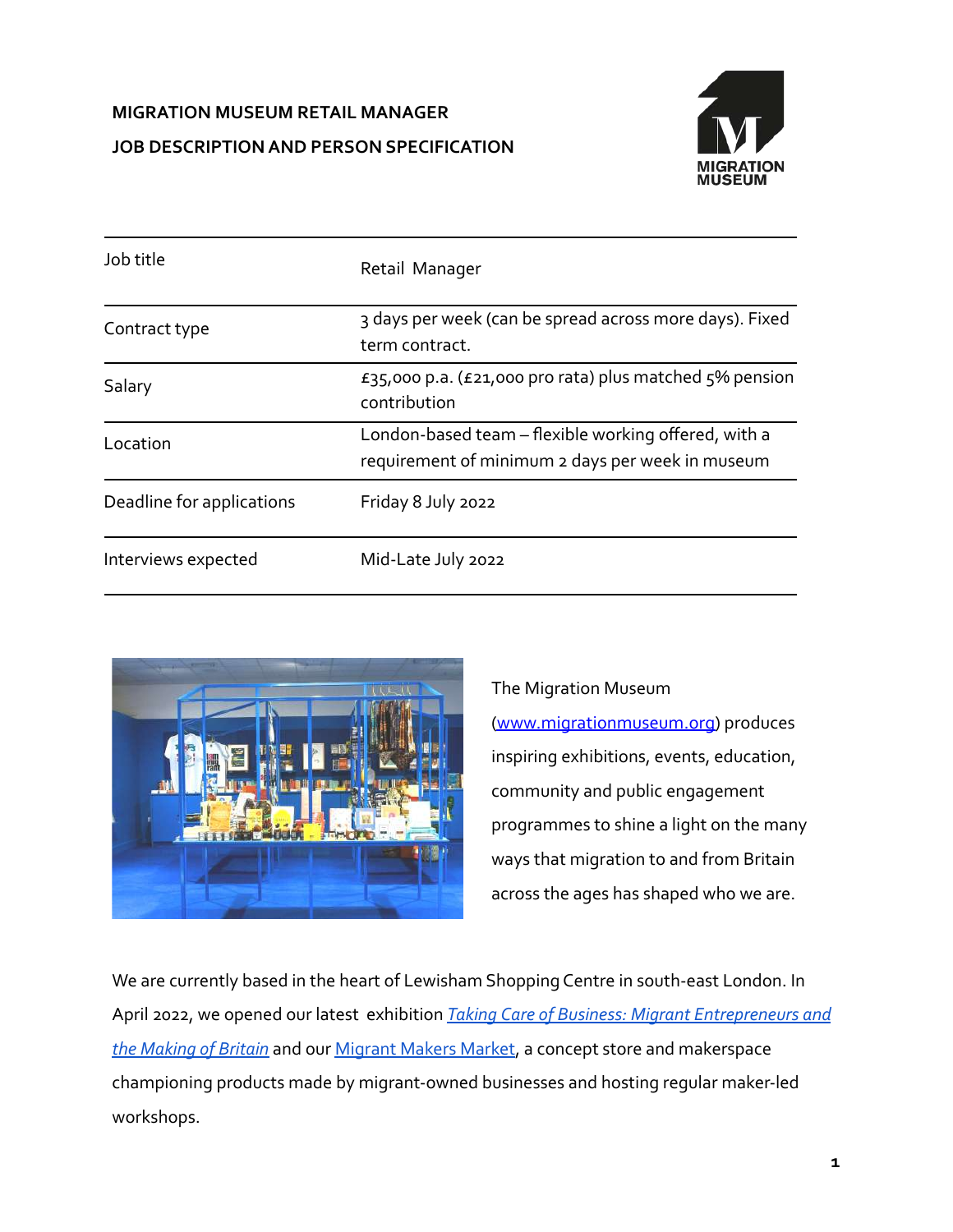# **MIGRATION MUSEUM RETAIL MANAGER JOB DESCRIPTION AND PERSON SPECIFICATION**



| Job title                 | Retail Manager                                                                                           |
|---------------------------|----------------------------------------------------------------------------------------------------------|
| Contract type             | 3 days per week (can be spread across more days). Fixed<br>term contract.                                |
| Salary                    | £35,000 p.a. (£21,000 pro rata) plus matched $5\%$ pension<br>contribution                               |
| Location                  | London-based team – flexible working offered, with a<br>requirement of minimum 2 days per week in museum |
| Deadline for applications | Friday 8 July 2022                                                                                       |
| Interviews expected       | Mid-Late July 2022                                                                                       |



The Migration Museum [\(www.migrationmuseum.org\)](http://www.migrationmuseum.org) produces inspiring exhibitions, events, education, community and public engagement programmes to shine a light on the many ways that migration to and from Britain across the ages has shaped who we are.

We are currently based in the heart of Lewisham Shopping Centre in south-east London. In April 2022, we opened our latest exhibition *Taking [Care of Business: Migrant Entrepreneurs and](https://www.migrationmuseum.org/exhibition/takingcareofbusiness/) [the Making of Britain](https://www.migrationmuseum.org/exhibition/takingcareofbusiness/)* and our [Migrant Makers Market](https://shop.migrationmuseum.org/collections/migrant-makers-market), a concept store and makerspace championing products made by migrant-owned businesses and hosting regular maker-led workshops.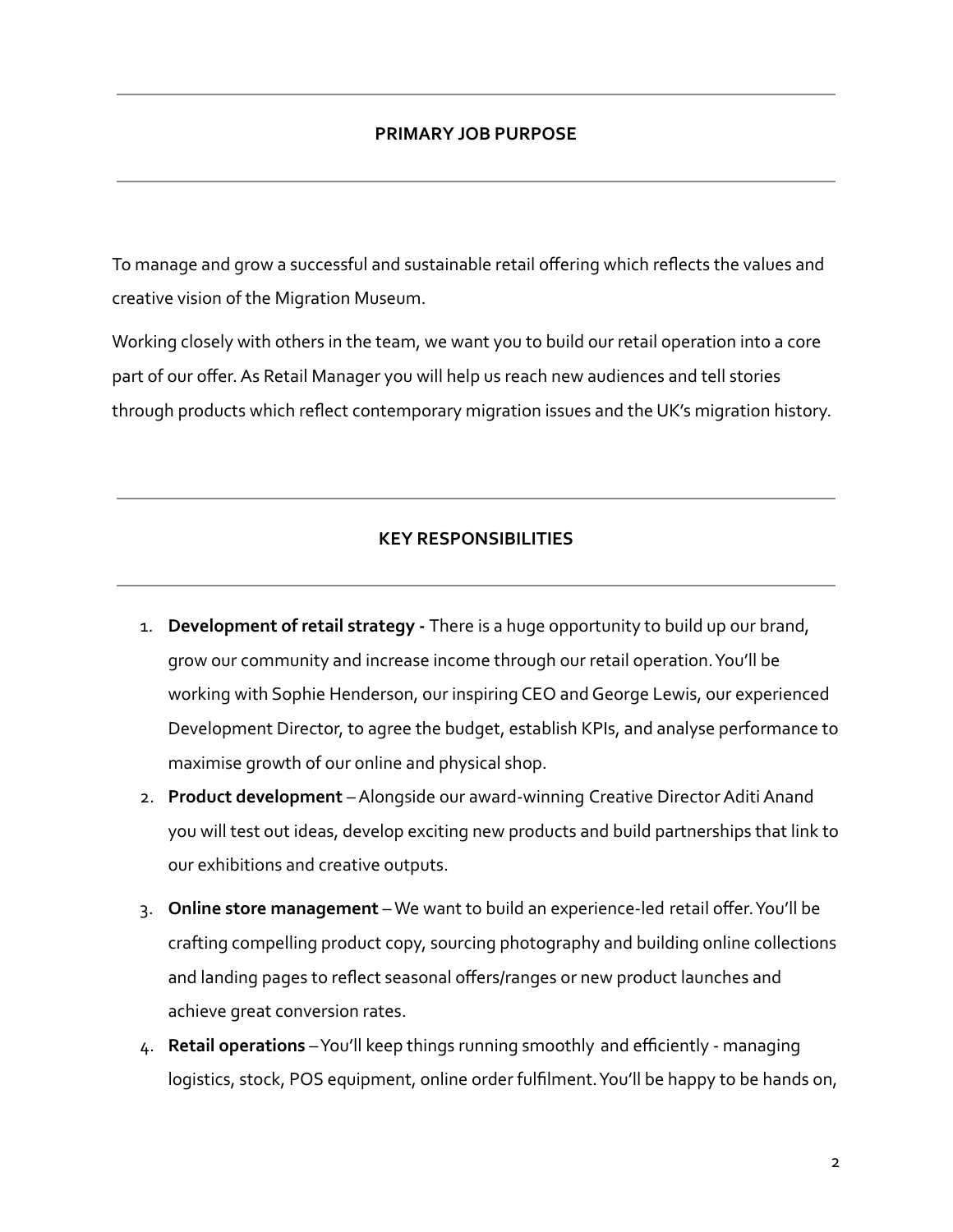#### **PRIMARY JOB PURPOSE**

To manage and grow a successful and sustainable retail offering which reflects the values and creative vision of the Migration Museum.

Working closely with others in the team, we want you to build our retail operation into a core part of our offer. As Retail Manager you will help us reach new audiences and tell stories through products which reflect contemporary migration issues and the UK's migration history.

#### **KEY RESPONSIBILITIES**

- 1. **Development of retail strategy -** There is a huge opportunity to build up our brand, grow our community and increase income through our retail operation. You'll be working with Sophie Henderson, our inspiring CEO and George Lewis, our experienced Development Director, to agree the budget, establish KPIs, and analyse performance to maximise growth of our online and physical shop.
- 2. **Product development** Alongside our award-winning Creative Director Aditi Anand you will test out ideas, develop exciting new products and build partnerships that link to our exhibitions and creative outputs.
- 3. **Online store management** We want to build an experience-led retail offer. You'll be crafting compelling product copy, sourcing photography and building online collections and landing pages to reflect seasonal offers/ranges or new product launches and achieve great conversion rates.
- 4. **Retail operations** You'll keep things running smoothly and efficiently managing logistics, stock, POS equipment, online order fulfilment. You'll be happy to be hands on,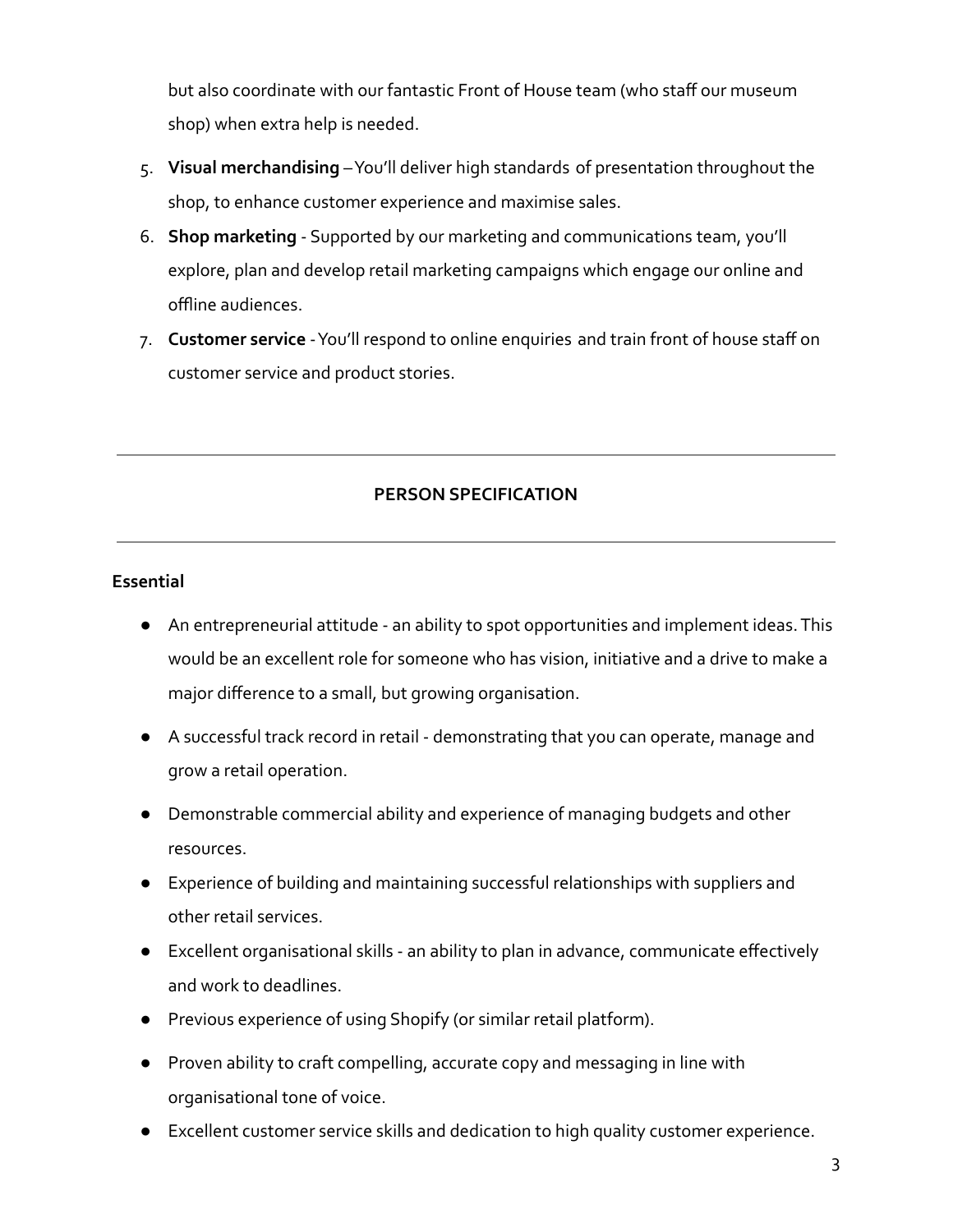but also coordinate with our fantastic Front of House team (who staff our museum shop) when extra help is needed.

- 5. **Visual merchandising** You'll deliver high standards of presentation throughout the shop, to enhance customer experience and maximise sales.
- 6. **Shop marketing** Supported by our marketing and communications team, you'll explore, plan and develop retail marketing campaigns which engage our online and offline audiences.
- 7. **Customer service** You'll respond to online enquiries and train front of house staff on customer service and product stories.

## **PERSON SPECIFICATION**

### **Essential**

- An entrepreneurial attitude an ability to spot opportunities and implement ideas. This would be an excellent role for someone who has vision, initiative and a drive to make a major difference to a small, but growing organisation.
- A successful track record in retail demonstrating that you can operate, manage and grow a retail operation.
- Demonstrable commercial ability and experience of managing budgets and other resources.
- Experience of building and maintaining successful relationships with suppliers and other retail services.
- Excellent organisational skills an ability to plan in advance, communicate effectively and work to deadlines.
- Previous experience of using Shopify (or similar retail platform).
- Proven ability to craft compelling, accurate copy and messaging in line with organisational tone of voice.
- Excellent customer service skills and dedication to high quality customer experience.